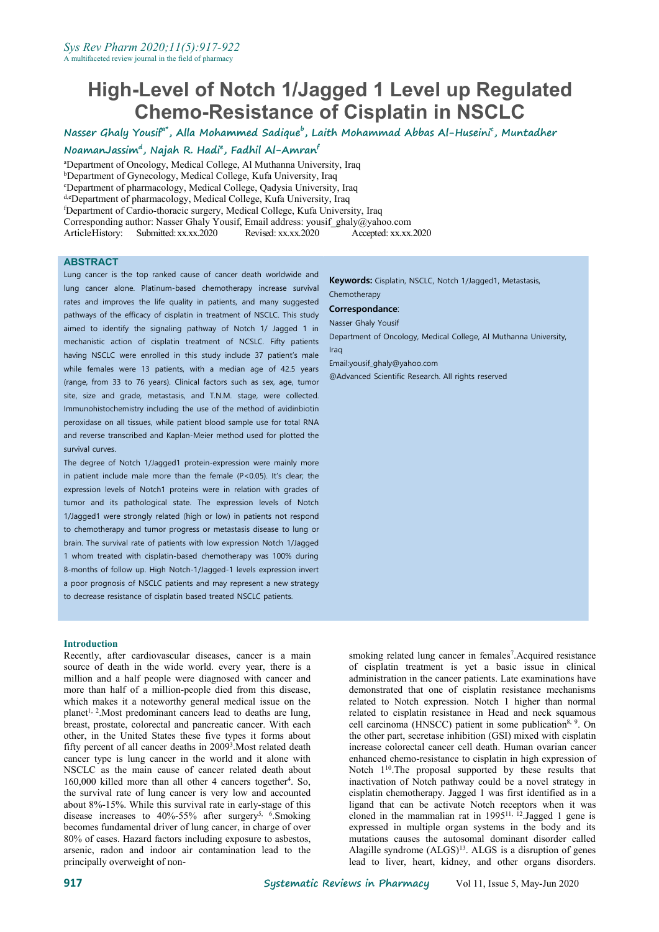# **High-Level of Notch 1/Jagged 1 Level up Regulated Chemo-Resistance of Cisplatin in NSCLC**

**Nasser Ghaly Yousifa\*, Alla Mohammed Sadique b , Laith Mohammad Abbas Al-Huseini<sup>c</sup>, Muntadher**

#### **NoamanJassim<sup>d</sup> , Najah R. Hadi<sup>e</sup>, Fadhil Al-Amran f**

<sup>a</sup>Department of Oncology, Medical College, Al Muthanna University, Iraq

<sup>b</sup>Department of Gynecology, Medical College, Kufa University, Iraq

<sup>c</sup>Department of pharmacology, Medical College, Qadysia University, Iraq

d,eDepartment of pharmacology, Medical College, Kufa University, Iraq

<sup>f</sup>Department of Cardio-thoracic surgery, Medical College, Kufa University, Iraq

Corresponding author: Nasser Ghaly Yousif, Email address: [yousif\\_ghaly@yahoo.com](mailto:yousif_ghaly@yahoo.com)

ArticleHistory: Submitted:xx.xx.2020 Revised: xx.xx.2020 Accepted: xx.xx.2020

# **ABSTRACT**

Lung cancer is the top ranked cause of cancer death worldwide and lung cancer alone. Platinum-based chemotherapy increase survival rates and improves the life quality in patients, and many suggested pathways of the efficacy of cisplatin in treatment of NSCLC. This study aimed to identify the signaling pathway of Notch 1/ Jagged 1 in mechanistic action of cisplatin treatment of NCSLC. Fifty patients having NSCLC were enrolled in this study include 37 patient's male while females were 13 patients, with a median age of 42.5 years (range, from 33 to 76 years). Clinical factors such as sex, age, tumor site, size and grade, metastasis, and T.N.M. stage, were collected. Immunohistochemistry including the use of the method of avidinbiotin peroxidase on all tissues, while patient blood sample use for total RNA and reverse transcribed and Kaplan-Meier method used for plotted the survival curves.

The degree of Notch 1/Jagged1 protein-expression were mainly more in patient include male more than the female (P<0.05). It's clear; the expression levels of Notch1 proteins were in relation with grades of tumor and its pathological state. The expression levels of Notch 1/Jagged1 were strongly related (high or low) in patients not respond to chemotherapy and tumor progress or metastasis disease to lung or brain. The survival rate of patients with low expression Notch 1/Jagged 1 whom treated with cisplatin-based chemotherapy was 100% during 8-months of follow up. High Notch-1/Jagged-1 levels expression invert a poor prognosis of NSCLC patients and may represent a new strategy to decrease resistance of cisplatin based treated NSCLC patients.

#### **Introduction**

Recently, after cardiovascular diseases, cancer is a main source of death in the wide world. every year, there is a million and a half people were diagnosed with cancer and more than half of a million-people died from this disease, which makes it a noteworthy general medical issue on the planet<sup>1, 2</sup>. Most predominant cancers lead to deaths are lung, elate breast, prostate, colorectal and pancreatic cancer. With each other, in the United States these five types it forms about fifty percent of all cancer deaths in 2009<sup>3</sup>. Most related death increase color cancer type is lung cancer in the world and it alone with NSCLC as the main cause of cancer related death about 160,000 killed more than all other 4 cancers together 4 . So, the survival rate of lung cancer is very low and accounted about 8%-15%. While this survival rate in early-stage of this disease increases to 40%-55% after surgery<sup>5, 6</sup>. Smoking c becomes fundamental driver of lung cancer, in charge of over 80% of cases. Hazard factors including exposure to asbestos, arsenic, radon and indoor air contamination lead to the principally overweight of non-

**Keywords:** Cisplatin, NSCLC, Notch 1/Jagged1, Metastasis, Chemotherapy

#### **Correspondance**:

Nasser Ghaly Yousif

Department of Oncology, Medical College, Al Muthanna University, Iraq

Email:[yousif\\_ghaly@yahoo.com](mailto:yousif_ghaly@yahoo.com)

@Advanced Scientific Research. All rights reserved

Smoking cloned in the mammalian rat in  $1995$ <sup>11, 12</sup>. Jagged 1 gene is smoking related lung cancer in females<sup>7</sup>. Acquired resistance of cisplatin treatment is yet a basic issue in clinical administration in the cancer patients. Late examinations have demonstrated that one of cisplatin resistance mechanisms related to Notch expression. Notch 1 higher than normal related to cisplatin resistance in Head and neck squamous cell carcinoma (HNSCC) patient in some publication<sup>8, 9</sup>. On the other part, secretase inhibition (GSI) mixed with cisplatin increase colorectal cancer cell death. Human ovarian cancer enhanced chemo-resistance to cisplatin in high expression of Notch 1<sup>10</sup>. The proposal supported by these results that inactivation of Notch pathway could be a novel strategy in cisplatin chemotherapy. Jagged 1 was first identified as in a ligand that can be activate Notch receptors when it was expressed in multiple organ systems in the body and its mutations causes the autosomal dominant disorder called Alagille syndrome (ALGS) 13 . ALGS is a disruption of genes lead to liver, heart, kidney, and other organs disorders.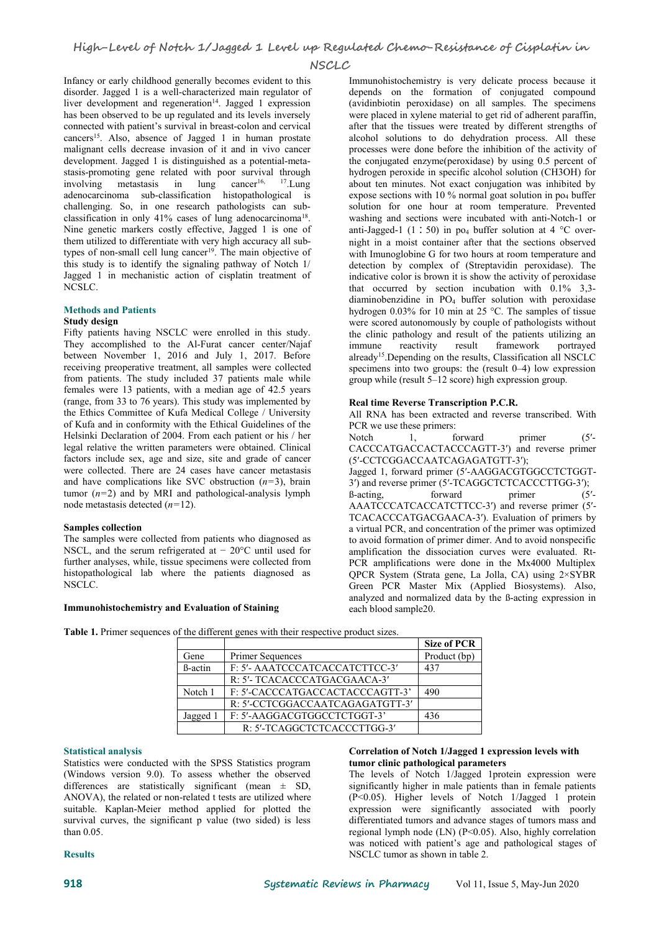Infancy or early childhood generally becomes evident to this disorder. Jagged 1 is a well-characterized main regulator of liver development and regeneration<sup>14</sup>. Jagged 1 expression (avidinbiotin has been observed to be up regulated and its levels inversely connected with patient's survival in breast-colon and cervical cancers 15 . Also, absence of Jagged 1 in human prostate malignant cells decrease invasion of it and in vivo cancer development. Jagged 1 is distinguished as a potential-meta stasis-promoting gene related with poor survival through involving metastasis in lung cancer<sup>16,</sup>  $17$ . Lung adenocarcinoma sub-classification histopathological is challenging. So, in one research pathologists can sub classification in only 41% cases of lung adenocarcinoma Nine genetic markers costly effective, Jagged 1 is one of them utilized to differentiate with very high accuracy all subtypes of non-small cell lung cancer<sup>19</sup>. The main objective of with Im this study is to identify the signaling pathway of Notch 1/ Jagged 1 in mechanistic action of cisplatin treatment of NCSLC.

# **Methods and Patients**

**Study design**<br>Fifty patients having NSCLC were enrolled in this study. They accomplished to the Al-Furat cancer center/Najaf between November 1, 2016 and July 1, 2017. Before receiving preoperative treatment, all samples were collected from patients. The study included 37 patients male while females were 13 patients, with a median age of 42.5 years (range, from 33 to 76 years). This study was implemented by the Ethics Committee of Kufa Medical College / University of Kufa and in conformity with the Ethical Guidelines of the Helsinki Declaration of 2004. From each patient or his / her Notch legal relative the written parameters were obtained. Clinical factors include sex, age and size, site and grade of cancer were collected. There are 24 cases have cancer metastasis and have complications like SVC obstruction (*n*=3), brain tumor  $(n=2)$  and by MRI and pathological-analysis lymph  $\beta$ -acting. node metastasis detected (*n*=12).

# **Samples collection**

The samples were collected from patients who diagnosed as NSCL, and the serum refrigerated at − 20°C until used for further analyses, while, tissue specimens were collected from histopathological lab where the patients diagnosed as NSCLC.

# **Immunohistochemistry and Evaluation of Staining**

.Lung about ten minutes. Not exact conjugation was inhibited by <sup>18</sup>. washing and sections were incubated with anti-Notch-1 or Immunohistochemistry is very delicate process because it depends on the formation of conjugated compound (avidinbiotin peroxidase) on all samples. The specimens were placed in xylene material to get rid of adherent paraffin, after that the tissues were treated by different strengths of alcohol solutions to do dehydration process. All these processes were done before the inhibition of the activity of the conjugated enzyme(peroxidase) by using 0.5 percent of hydrogen peroxide in specific alcohol solution (CH3OH) for expose sections with  $10\%$  normal goat solution in po<sub>4</sub> buffer solution for one hour at room temperature. Prevented anti-Jagged-1 (1∶50) in po<sub>4</sub> buffer solution at 4 °C overnight in a moist container after that the sections observed with Imunoglobine G for two hours at room temperature and detection by complex of (Streptavidin peroxidase). The indicative color is brown it is show the activity of peroxidase that occurred by section incubation with 0.1% 3,3 diaminobenzidine in PO<sup>4</sup> buffer solution with peroxidase hydrogen 0.03% for 10 min at 25 °C. The samples of tissue were scored autonomously by couple of pathologists without the clinic pathology and result of the patients utilizing an immune reactivity result framework portrayed already 15 .Depending on the results, Classification all NSCLC specimens into two groups: the (result 0–4) low expression group while (result 5–12 score) high expression group.

### **Real time Reverse Transcription P.C.R.**

All RNA has been extracted and reverse transcribed. With PCR we use these primers:

Notch 1, forward primer (5<sup>'-</sup> CACCCATGACCACTACCCAGTT-3′) and reverse primer (5′-CCTCGGACCAATCAGAGATGTT-3′); Jagged 1, forward primer (5′-AAGGACGTGGCCTCTGGT-

3′) and reverse primer (5′-TCAGGCTCTCACCCTTGG-3′); forward primer (5'-AAATCCCATCACCATCTTCC-3′) and reverse primer (5′- TCACACCCATGACGAACA-3′). Evaluation of primers by a virtual PCR, and concentration of the primer was optimized to avoid formation of primer dimer. And to avoid nonspecific amplification the dissociation curves were evaluated. Rt- PCR amplifications were done in the Mx4000 Multiplex QPCR System (Strata gene, La Jolla, CA) using 2×SYBR Green PCR Master Mix (Applied Biosystems). Also, analyzed and normalized data by the ß-acting expression in each blood sample20.

**Table 1.** Primer sequences of the different genes with their respective product sizes.

|         |                                 | <b>Size of PCR</b> |
|---------|---------------------------------|--------------------|
| Gene    | <b>Primer Sequences</b>         | Product (bp)       |
| ß-actin | F: 5'- AAATCCCATCACCATCTTCC-3'  | 437                |
|         | R: 5'- TCACACCCATGACGAACA-3'    |                    |
| Notch 1 | F: 5'-CACCCATGACCACTACCCAGTT-3' | 490                |
|         | R: 5'-CCTCGGACCAATCAGAGATGTT-3' |                    |
| Jagged  | F: 5'-AAGGACGTGGCCTCTGGT-3'     | 436                |
|         | R: 5'-TCAGGCTCTCACCCTTGG-3'     |                    |

#### **Statistical analysis**

Statistics were conducted with the SPSS Statistics program (Windows version 9.0). To assess whether the observed differences are statistically significant (mean  $\pm$  SD, ANOVA), the related or non-related t tests are utilized where suitable. Kaplan-Meier method applied for plotted the survival curves, the significant p value (two sided) is less than 0.05.

### **Correlation of Notch 1/Jagged 1 expression levels with tumor clinic pathological parameters**

The levels of Notch 1/Jagged 1protein expression were significantly higher in male patients than in female patients (P<0.05). Higher levels of Notch 1/Jagged 1 protein expression were significantly associated with poorly differentiated tumors and advance stages of tumors mass and regional lymph node (LN) (P<0.05). Also, highly correlation was noticed with patient's age and pathological stages of NSCLC tumor as shown in table 2.

# **Results**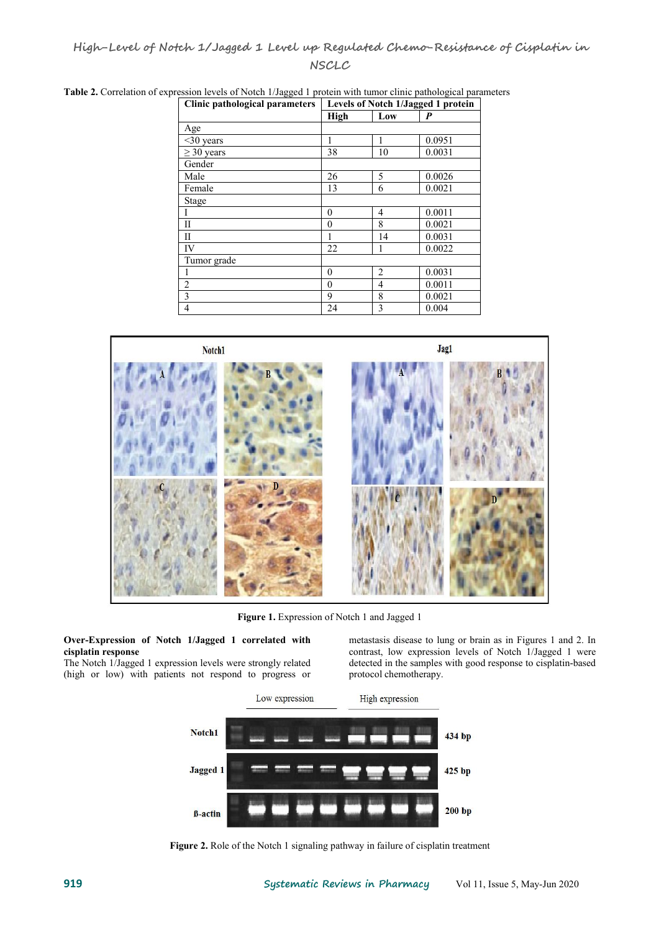# **High-Level of Notch 1/Jagged 1 Level up Regulated Chemo-Resistance of Cisplatin in NSCLC**

| Clinic pathological parameters | Levels of Notch 1/Jagged 1 protein |                |        |
|--------------------------------|------------------------------------|----------------|--------|
|                                | High                               | Low            | P      |
| Age                            |                                    |                |        |
| $<$ 30 years                   |                                    |                | 0.0951 |
| $\geq$ 30 years                | 38                                 | 10             | 0.0031 |
| Gender                         |                                    |                |        |
| Male                           | 26                                 | 5              | 0.0026 |
| Female                         | 13                                 | 6              | 0.0021 |
| Stage                          |                                    |                |        |
|                                | $\mathbf{0}$                       | 4              | 0.0011 |
| П                              | $\theta$                           | 8              | 0.0021 |
| $\rm II$                       |                                    | 14             | 0.0031 |
| IV                             | 22                                 |                | 0.0022 |
| Tumor grade                    |                                    |                |        |
|                                | $\mathbf{0}$                       | $\overline{2}$ | 0.0031 |
| $\overline{2}$                 | $\mathbf{0}$                       | 4              | 0.0011 |
| 3                              | 9                                  | 8              | 0.0021 |
| 4                              | 24                                 | 3              | 0.004  |

**Table 2.** Correlation of expression levels of Notch 1/Jagged 1 protein with tumor clinic pathological parameters



**Figure 1.** Expression of Notch 1 and Jagged 1

### **Over-Expression of Notch 1/Jagged 1 correlated with** metastasis disease to lung or brain as in Figures 1 and 2. In **cisplatin response**

The Notch 1/Jagged 1 expression levels were strongly related

(heth 1/Jagged 1 correlated with metastasis disease to lung or brain as in Figures 1 and 2. In cisplatin response<br>
The Notch 1/Jagged 1 expression levels were strongly related<br>
(high or low) with patients not respond to pr contrast, low expression levels of Notch 1/Jagged 1 were detected in the samples with good response to cisplatin-based protocol chemotherapy.



**Figure 2.** Role of the Notch 1 signaling pathway in failure of cisplatin treatment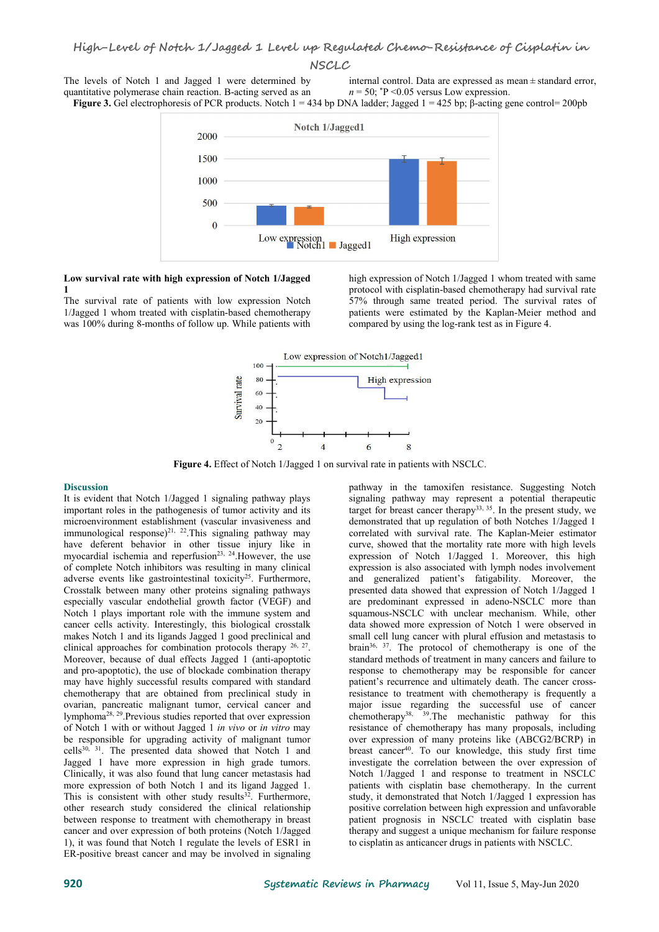The levels of Notch 1 and Jagged 1 were determined by quantitative polymerase chain reaction. Β-acting served as an internal control. Data are expressed as mean ± standard error,  $n = 50$ ;  ${}^*P < 0.05$  versus Low expression. **Figure 3.** Gel electrophoresis of PCR products. Notch 1 = 434 bp DNA ladder; Jagged 1 = 425 bp;  $\beta$ -acting gene control= 200pb



**Low survival rate with high expression of Notch 1/Jagged 1**

The survival rate of patients with low expression Notch 1/Jagged 1 whom treated with cisplatin-based chemotherapy was 100% during 8-months of follow up. While patients with high expression of Notch 1/Jagged 1 whom treated with same protocol with cisplatin-based chemotherapy had survival rate 57% through same treated period. The survival rates of patients were estimated by the Kaplan-Meier method and compared by using the log-rank test as in Figure 4.



**Figure 4.** Effect of Notch 1/Jagged 1 on survival rate in patients with NSCLC.

# **Discussion**

It is evident that Notch 1/Jagged 1 signaling pathway plays important roles in the pathogenesis of tumor activity and its microenvironment establishment (vascular invasiveness and immunological response)<sup>21, 22</sup>. This signaling pathway may correlated wi have deferent behavior in other tissue injury like in myocardial ischemia and reperfusion<sup>23, 24</sup>. However, the use expression of complete Notch inhibitors was resulting in many clinical adverse events like gastrointestinal toxicity<sup>25</sup>. Furthermore, an Crosstalk between many other proteins signaling pathways especially vascular endothelial growth factor (VEGF) and Notch 1 plays important role with the immune system and cancer cells activity. Interestingly, this biological crosstalk makes Notch 1 and its ligands Jagged 1 good preclinical and clinical approaches for combination protocols therapy  $26, 27$ . brain  $36, 60$ Moreover, because of dual effects Jagged 1 (anti-apoptotic and pro-apoptotic), the use of blockade combination therapy may have highly successful results compared with standard chemotherapy that are obtained from preclinical study in ovarian, pancreatic malignant tumor, cervical cancer and lymphoma<sup>28, 29</sup>. Previous studies reported that over expression chemotherapy of Notch 1 with or without Jagged 1 *in vivo* or*in vitro* may be responsible for upgrading activity of malignant tumor cells<sup>30, 31</sup>. The presented data showed that Notch 1 and breast cancer Jagged <sup>1</sup> have more expression in high grade tumors.Clinically, it was also found that lung cancer metastasis had more expression of both Notch 1 and its ligand Jagged 1. This is consistent with other study results<sup>32</sup>. Furthermore, stu other research study considered the clinical relationship between response to treatment with chemotherapy in breast cancer and over expression of both proteins (Notch 1/Jagged 1), it was found that Notch 1 regulate the levels of ESR1 in ER-positive breast cancer and may be involved in signaling

brain<sup>36, 37</sup>. The protocol of chemotherapy is one of the pathway in the tamoxifen resistance. Suggesting Notch signaling pathway may represent a potential therapeutic target for breast cancer therapy<sup>33, 35</sup>. In the present study, we demonstrated that up regulation of both Notches 1/Jagged 1 correlated with survival rate. The Kaplan-Meier estimator curve, showed that the mortality rate more with high levels expression of Notch 1/Jagged 1. Moreover, this high expression is also associated with lymph nodes involvement and generalized patient's fatigability. Moreover, the presented data showed that expression of Notch 1/Jagged 1 are predominant expressed in adeno-NSCLC more than squamous-NSCLC with unclear mechanism. While, other data showed more expression of Notch 1 were observed in small cell lung cancer with plural effusion and metastasis to standard methods of treatment in many cancers and failure to response to chemotherapy may be responsible for cancer patient's recurrence and ultimately death. The cancer crossresistance to treatment with chemotherapy is frequently a major issue regarding the successful use of cancer chemotherapy 38, 39 .The mechanistic pathway for this resistance of chemotherapy has many proposals, including over expression of many proteins like (ABCG2/BCRP) in breast cancer 40 . To our knowledge, this study first time investigate the correlation between the over expression of Notch 1/Jagged 1 and response to treatment in NSCLC patients with cisplatin base chemotherapy. In the current study, it demonstrated that Notch 1/Jagged 1 expression has positive correlation between high expression and unfavorable patient prognosis in NSCLC treated with cisplatin base therapy and suggest a unique mechanism for failure response to cisplatin as anticancer drugs in patients with NSCLC.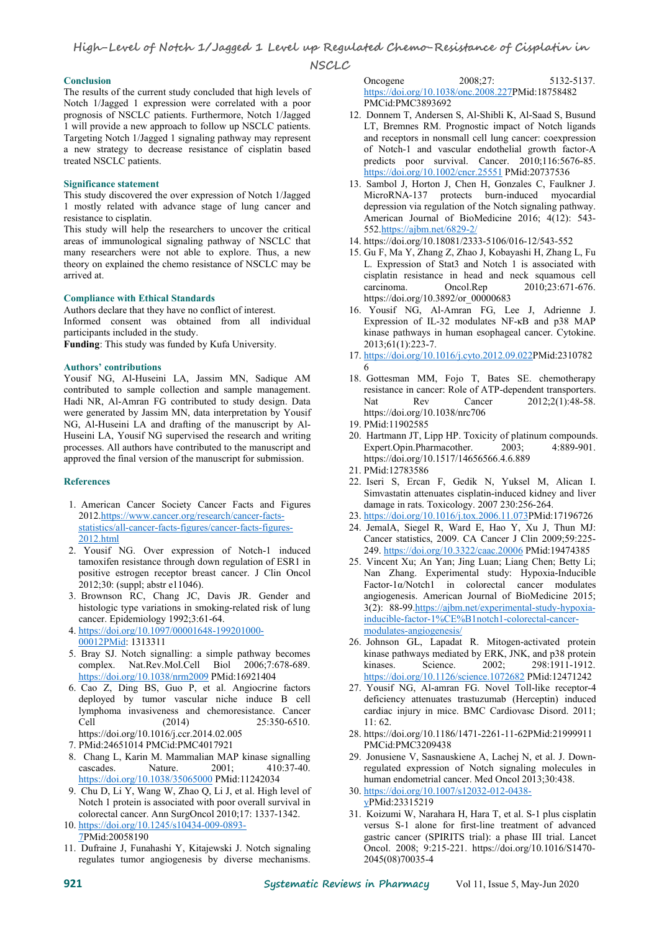# **Conclusion**

The results of the current study concluded that high levels of Notch 1/Jagged 1 expression were correlated with a poor prognosis of NSCLC patients. Furthermore, Notch 1/Jagged 1 will provide a new approach to follow up NSCLC patients. Targeting Notch 1/Jagged 1 signaling pathway may represent a new strategy to decrease resistance of cisplatin based treated NSCLC patients.

# **Significance statement**

This study discovered the over expression of Notch 1/Jagged 1 mostly related with advance stage of lung cancer and resistance to cisplatin.

This study will help the researchers to uncover the criticalareas of immunological signaling pathway of NSCLC that many researchers were not able to explore. Thus, a new theory on explained the chemo resistance of NSCLC may be arrived at.

# **Compliance with Ethical Standards**

Authors declare that they have no conflict of interest. Informed consent was obtained from all individual participants included in the study. **Funding**: This study was funded by Kufa University.

**Authors' contributions**

Yousif NG, Al-Huseini LA, Jassim MN, Sadique AM contributed to sample collection and sample management. Hadi NR, Al-Amran FG contributed to study design. Data were generated by Jassim MN, data interpretation by Yousif NG, Al-Huseini LA and drafting of the manuscript by Al- Huseini LA, Yousif NG supervised the research and writing processes. All authors have contributed to the manuscript and approved the final version of the manuscript for submission.

# **References**

- 1. American Cancer Society Cancer Facts and Figures 2012[.https://www.cancer.org/research/cancer-facts](https://www.cancer.org/research/cancer-facts-statistics/all-cancer-facts-figures/cancer-facts-figures-2012.html) statistics/all-cancer-facts-figures/cancer-facts-figures- 2012.html
- 2. Yousif NG. Over expression of Notch-1 induced tamoxifen resistance through down regulation of ESR1 in positive estrogen receptor breast cancer. J Clin Oncol 2012;30: (suppl; abstr e11046).
- 3. Brownson RC, Chang JC, Davis JR. Gender and histologic type variations in smoking-related risk of lung cancer. Epidemiology 1992;3:61-64.
- 4. [https://doi.org/10.1097/00001648-199201000-](https://doi.org/10.1097/00001648-199201000-00012PMid) 00012PMid: 1313311
- 5. Bray SJ. Notch signalling: a simple pathway becomes complex. Nat.Rev.Mol.Cell Biol 2006;7:678-689. <https://doi.org/10.1038/nrm2009> PMid:16921404
- 6. Cao Z, Ding BS, Guo P, et al. Angiocrine factors deployed by tumor vascular niche induce B cell lymphoma invasiveness and chemoresistance. Cancer Cell (2014) 25:350-6510. https://doi.org/10.1016/j.ccr.2014.02.005
- 7. PMid:24651014 PMCid:PMC4017921
- 8. Chang L, Karin M. Mammalian MAP kinase signalling cascades. Nature. 2001: 410:37-40. cascades. Nature. 2001; 410:37-40. <https://doi.org/10.1038/35065000> PMid:11242034
- 9. Chu D, Li Y, Wang W, Zhao Q, Li J, et al. High level of Notch 1 protein is associated with poor overall survival in colorectal cancer. Ann SurgOncol 2010;17: 1337-1342.
- 10. [https://doi.org/10.1245/s10434-009-0893-](https://doi.org/10.1245/s10434-009-0893-7) 7PMid:20058190
- 11. Dufraine J, Funahashi Y, Kitajewski J. Notch signaling regulates tumor angiogenesis by diverse mechanisms.

Oncogene 2008;27: 5132-5137. [https://doi.org/10.1038/onc.2008.227P](https://doi.org/10.1038/onc.2008.227)Mid:18758482 PMCid:PMC3893692

- 12. Donnem T, Andersen S, Al-Shibli K, Al-Saad S, Busund LT, Bremnes RM. Prognostic impact of Notch ligands and receptors in nonsmall cell lung cancer: coexpression of Notch-1 and vascular endothelial growth factor-A predicts poor survival. Cancer. 2010;116:5676-85. <https://doi.org/10.1002/cncr.25551> PMid:20737536
- 13. Sambol J, Horton J, Chen H, Gonzales C, Faulkner J. MicroRNA-137 protects burn-induced myocardial depression via regulation of the Notch signaling pathway. American Journal of BioMedicine 2016; 4(12): 543- 552.<https://ajbm.net/6829-2/>
- 14. https://doi.org/10.18081/2333-5106/016-12/543-552
- 15. Gu F, Ma Y, Zhang Z, Zhao J, Kobayashi H, Zhang L, Fu L. Expression of Stat3 and Notch 1 is associated with cisplatin resistance in head and neck squamous cellcarcinoma. Oncol.Rep 2010;23:671-676. https://doi.org/10.3892/or\_00000683
- 16. Yousif NG, Al-Amran FG, Lee J, Adrienne J. Expression of IL-32 modulates NF-κB and p38 MAP kinase pathways in human esophageal cancer. Cytokine. 2013;61(1):223-7.
- 17. <https://doi.org/10.1016/j.cyto.2012.09.022>PMid:2310782
- 6 18. Gottesman MM, Fojo T, Bates SE. chemotherapy resistance in cancer: Role of ATP-dependent transporters. Rev Cancer 2012;2(1):48-58. https://doi.org/10.1038/nrc706
- 19. PMid:11902585
- 20. Hartmann JT, Lipp HP. Toxicity of platinum compounds. Expert.Opin.Pharmacother. 2003; 4:889-901. https://doi.org/10.1517/14656566.4.6.889
- 21. PMid:12783586
- 22. Iseri S, Ercan F, Gedik N, Yuksel M, Alican I. Simvastatin attenuates cisplatin-induced kidney and liver damage in rats. Toxicology. 2007 230:256-264.
- 23. <https://doi.org/10.1016/j.tox.2006.11.073>PMid:17196726
- 24. JemalA, Siegel R, Ward E, Hao Y, Xu J, Thun MJ: Cancer statistics, 2009. CA Cancer J Clin 2009;59:225- 249. <https://doi.org/10.3322/caac.20006> PMid:19474385
- 25. Vincent Xu; An Yan; Jing Luan; Liang Chen; Betty Li; Nan Zhang. Experimental study: Hypoxia-Inducible Factor-1α/Notch1 in colorectal cancer modulates angiogenesis. American Journal of BioMedicine 2015; 3(2): 88-99[.https://ajbm.net/experimental-study-hypoxia](https://ajbm.net/experimental-study-hypoxia-inducible-factor-1%CE%B1notch1-colorectal-cancer-modulates-angiogenesis/)inducible-factor-1%CE%B1notch1-colorectal-cancer modulates-angiogenesis/
- 26. Johnson GL, Lapadat R. Mitogen-activated protein kinase pathways mediated by ERK, JNK, and p38 protein kinases. Science. 2002; 298:1911-1912. <https://doi.org/10.1126/science.1072682> PMid:12471242
- 27. Yousif NG, Al-amran FG. Novel Toll-like receptor-4 deficiency attenuates trastuzumab (Herceptin) induced cardiac injury in mice. BMC Cardiovasc Disord. 2011;  $11:62.$
- 28. [https://doi.org/10.1186/1471-2261-11-62P](https://doi.org/10.1186/1471-2261-11-62)Mid:21999911 PMCid:PMC3209438
- 29. Jonusiene V, Sasnauskiene A, Lachej N, et al. J. Downregulated expression of Notch signaling molecules in human endometrial cancer. Med Oncol 2013;30:438.
- 30. [https://doi.org/10.1007/s12032-012-0438](https://doi.org/10.1007/s12032-012-0438-y) yPMid:23315219
- 31. Koizumi W, Narahara H, Hara T, et al. S-1 plus cisplatin versus S-1 alone for first-line treatment of advanced gastric cancer (SPIRITS trial): a phase III trial. Lancet Oncol. 2008; 9:215-221. https://doi.org/10.1016/S1470- 2045(08)70035-4